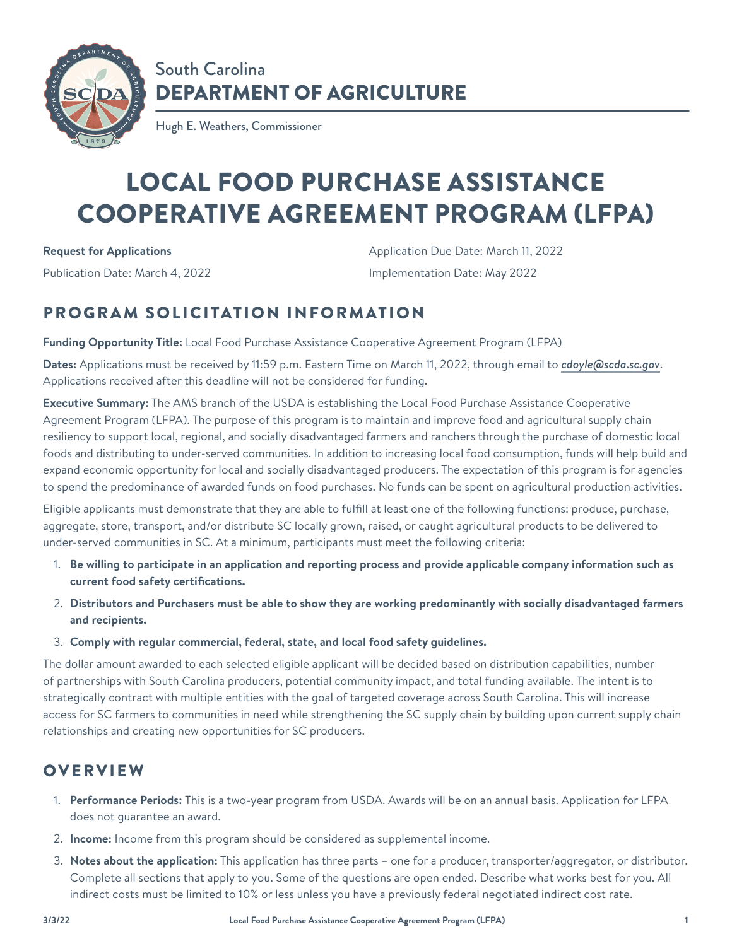

## South Carolina DEPARTMENT OF AGRICULTURE

Hugh E. Weathers, Commissioner

# LOCAL FOOD PURCHASE ASSISTANCE COOPERATIVE AGREEMENT PROGRAM (LFPA)

**Request for Applications**

Publication Date: March 4, 2022

Application Due Date: March 11, 2022 Implementation Date: May 2022

## PROGRAM SOLICITATION INFORMATION

**Funding Opportunity Title:** Local Food Purchase Assistance Cooperative Agreement Program (LFPA)

**Dates:** Applications must be received by 11:59 p.m. Eastern Time on March 11, 2022, through email to *[cdoyle@scda.sc.gov](mailto:cdoyle@scda.sc.gov)*. Applications received after this deadline will not be considered for funding.

**Executive Summary:** The AMS branch of the USDA is establishing the Local Food Purchase Assistance Cooperative Agreement Program (LFPA). The purpose of this program is to maintain and improve food and agricultural supply chain resiliency to support local, regional, and socially disadvantaged farmers and ranchers through the purchase of domestic local foods and distributing to under-served communities. In addition to increasing local food consumption, funds will help build and expand economic opportunity for local and socially disadvantaged producers. The expectation of this program is for agencies to spend the predominance of awarded funds on food purchases. No funds can be spent on agricultural production activities.

Eligible applicants must demonstrate that they are able to fulfill at least one of the following functions: produce, purchase, aggregate, store, transport, and/or distribute SC locally grown, raised, or caught agricultural products to be delivered to under-served communities in SC. At a minimum, participants must meet the following criteria:

- 1. **Be willing to participate in an application and reporting process and provide applicable company information such as current food safety certifications.**
- 2. **Distributors and Purchasers must be able to show they are working predominantly with socially disadvantaged farmers and recipients.**
- 3. **Comply with regular commercial, federal, state, and local food safety guidelines.**

The dollar amount awarded to each selected eligible applicant will be decided based on distribution capabilities, number of partnerships with South Carolina producers, potential community impact, and total funding available. The intent is to strategically contract with multiple entities with the goal of targeted coverage across South Carolina. This will increase access for SC farmers to communities in need while strengthening the SC supply chain by building upon current supply chain relationships and creating new opportunities for SC producers.

#### **OVERVIEW**

- 1. **Performance Periods:** This is a two-year program from USDA. Awards will be on an annual basis. Application for LFPA does not guarantee an award.
- 2. **Income:** Income from this program should be considered as supplemental income.
- 3. **Notes about the application:** This application has three parts one for a producer, transporter/aggregator, or distributor. Complete all sections that apply to you. Some of the questions are open ended. Describe what works best for you. All indirect costs must be limited to 10% or less unless you have a previously federal negotiated indirect cost rate.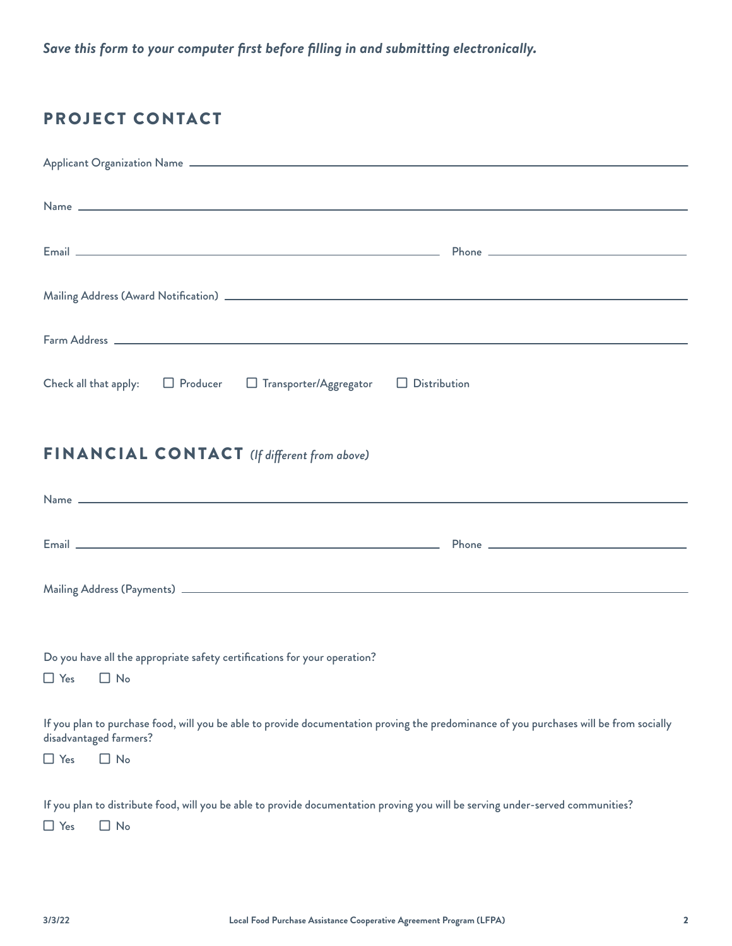*Save this form to your computer first before filling in and submitting electronically.*

#### PROJECT CONTACT

| Email <u>Constitution of the Community of the Community of the Community of The Community of the Community of the Community of the Community of the Community of the Community of the Community of the Community of the Communit</u> |
|--------------------------------------------------------------------------------------------------------------------------------------------------------------------------------------------------------------------------------------|
|                                                                                                                                                                                                                                      |
|                                                                                                                                                                                                                                      |
| Check all that apply: $\Box$ Producer $\Box$ Transporter/Aggregator $\Box$ Distribution                                                                                                                                              |
| <b>FINANCIAL CONTACT</b> (If different from above)                                                                                                                                                                                   |
|                                                                                                                                                                                                                                      |
|                                                                                                                                                                                                                                      |
|                                                                                                                                                                                                                                      |
|                                                                                                                                                                                                                                      |
| Do you have all the appropriate safety certifications for your operation?<br>$\Box$ Yes $\Box$ No                                                                                                                                    |
| If you plan to purchase food, will you be able to provide documentation proving the predominance of you purchases will be from socially<br>disadvantaged farmers?                                                                    |
| $\Box$ No<br>$\Box$ Yes                                                                                                                                                                                                              |
| If you plan to distribute food, will you be able to provide documentation proving you will be serving under-served communities?                                                                                                      |

 $\Box$  Yes  $\Box$  No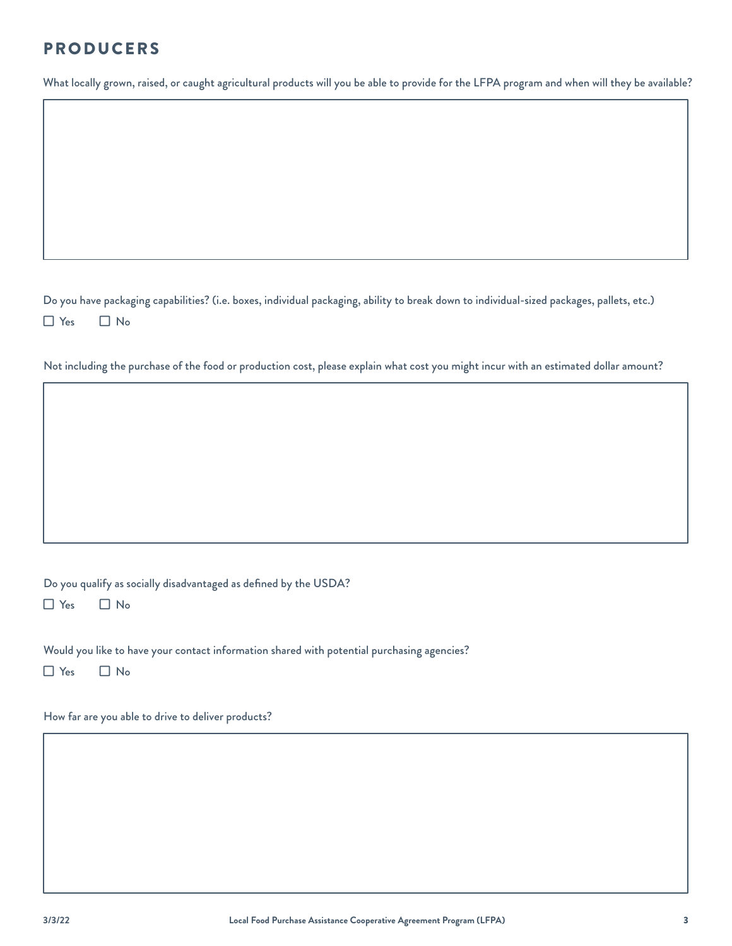#### PRODUCERS

What locally grown, raised, or caught agricultural products will you be able to provide for the LFPA program and when will they be available?

Do you have packaging capabilities? (i.e. boxes, individual packaging, ability to break down to individual-sized packages, pallets, etc.)  $\Box$  Yes  $\Box$  No

Not including the purchase of the food or production cost, please explain what cost you might incur with an estimated dollar amount?

Do you qualify as socially disadvantaged as defined by the USDA?

 $\Box$  Yes  $\Box$  No

Would you like to have your contact information shared with potential purchasing agencies?

 $\Box$  Yes  $\Box$  No

How far are you able to drive to deliver products?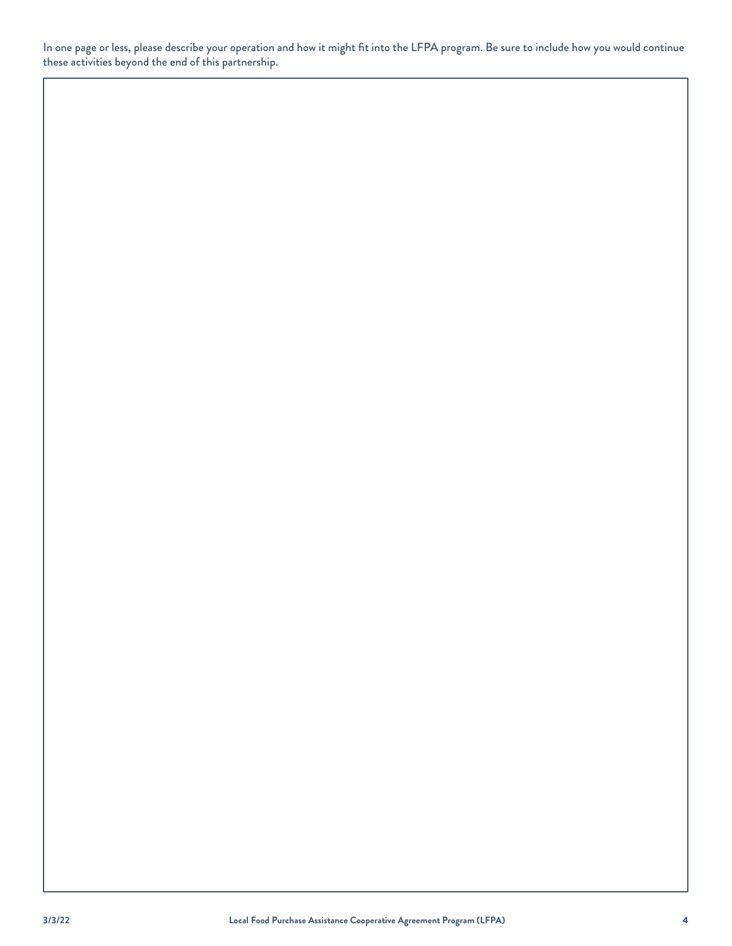In one page or less, please describe your operation and how it might fit into the LFPA program. Be sure to include how you would continue these activities beyond the end of this partnership.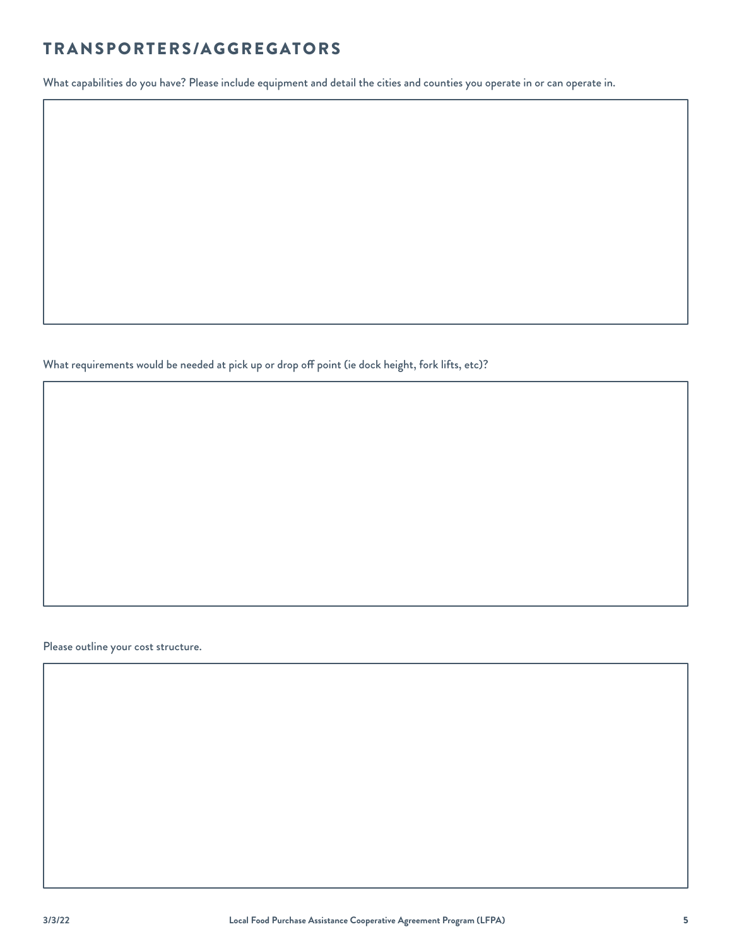#### TRANSPORTERS/AGGREGATORS

What capabilities do you have? Please include equipment and detail the cities and counties you operate in or can operate in.

What requirements would be needed at pick up or drop off point (ie dock height, fork lifts, etc)?

Please outline your cost structure.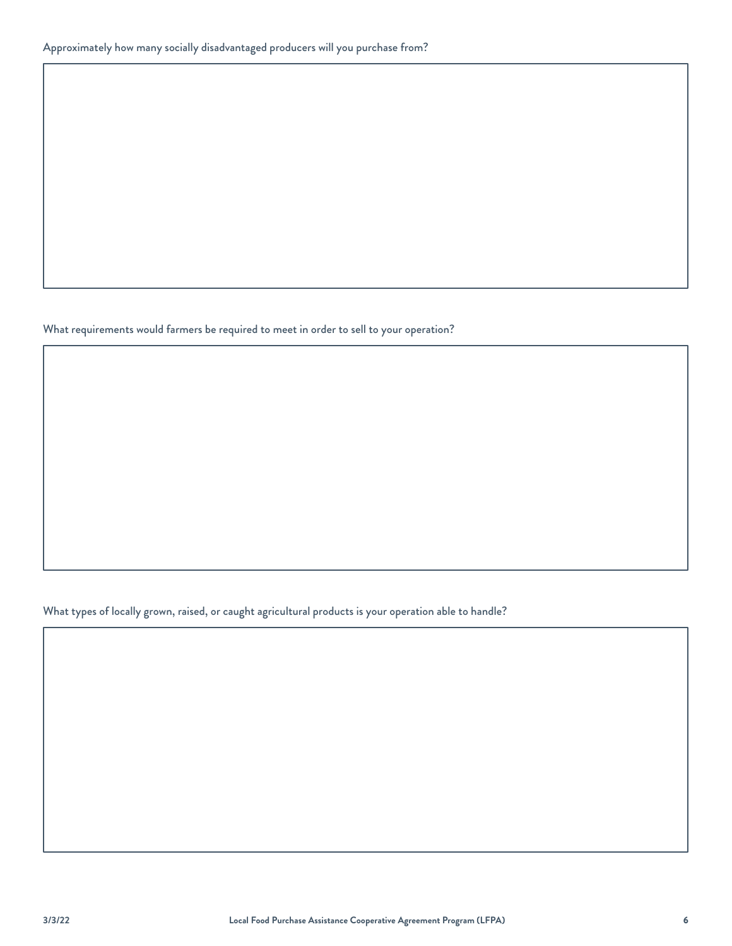What requirements would farmers be required to meet in order to sell to your operation?

What types of locally grown, raised, or caught agricultural products is your operation able to handle?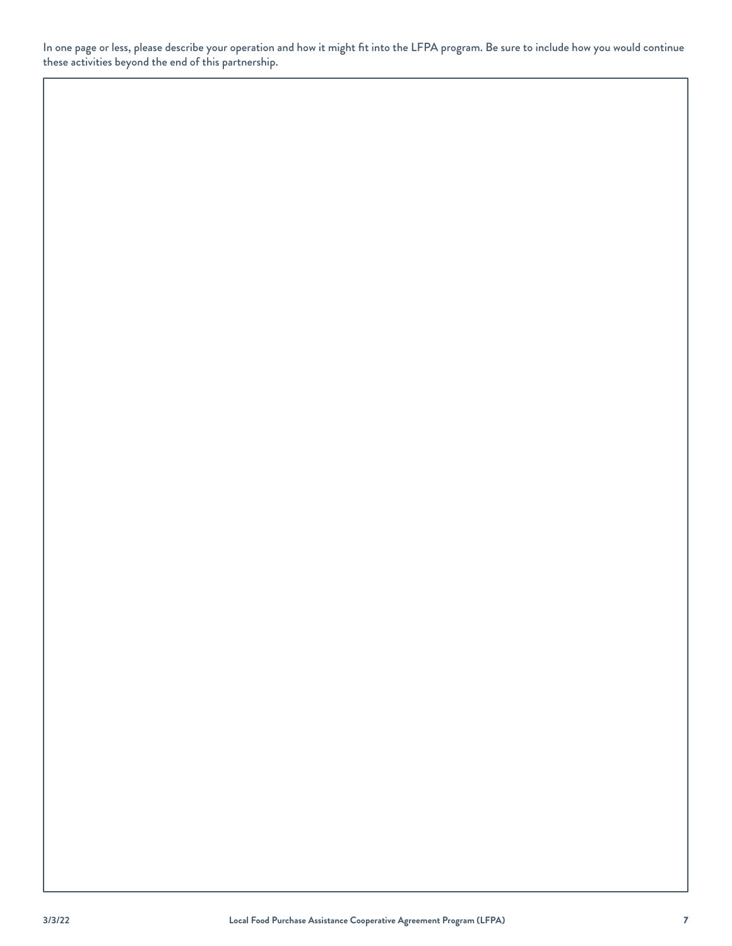In one page or less, please describe your operation and how it might fit into the LFPA program. Be sure to include how you would continue these activities beyond the end of this partnership.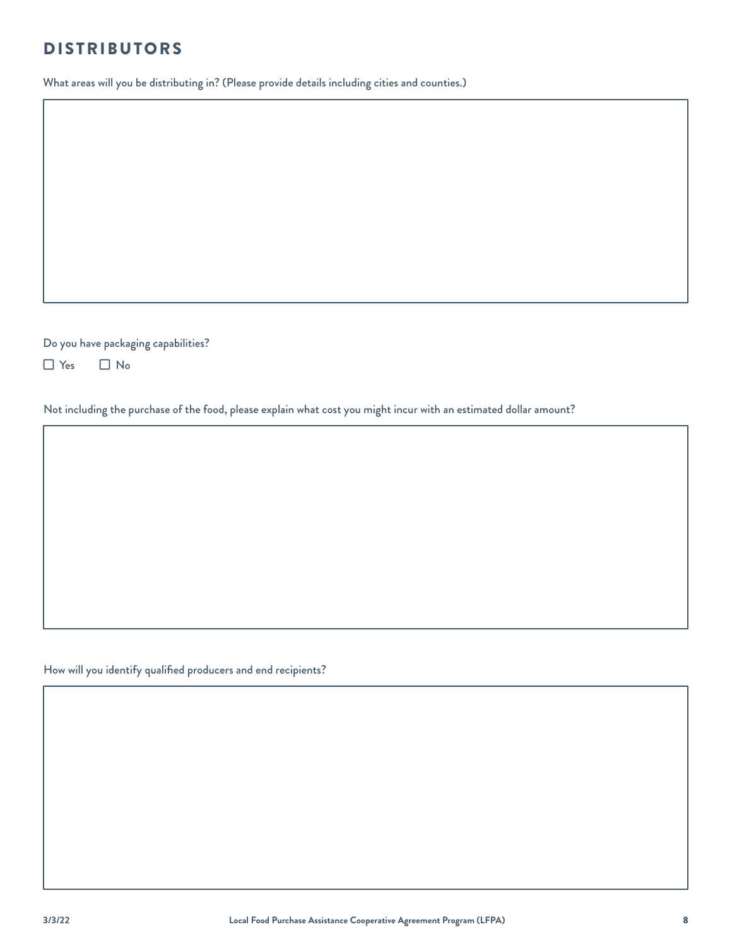#### DISTRIBUTORS

What areas will you be distributing in? (Please provide details including cities and counties.)

Do you have packaging capabilities?

 $\Box$  Yes  $\Box$  No

Not including the purchase of the food, please explain what cost you might incur with an estimated dollar amount?

How will you identify qualified producers and end recipients?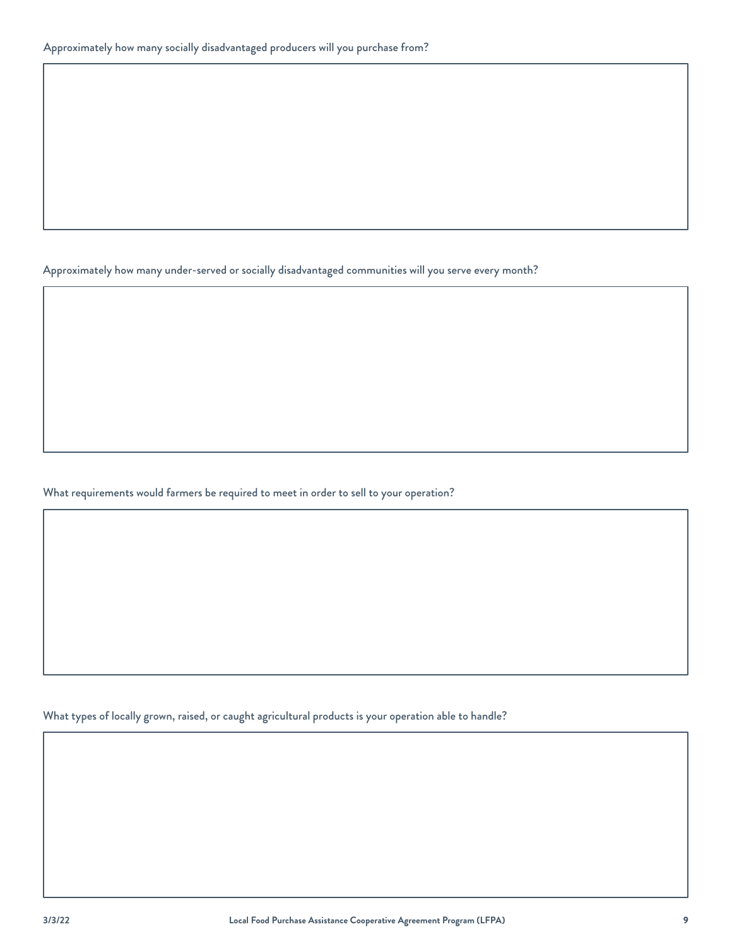Approximately how many under-served or socially disadvantaged communities will you serve every month?

What requirements would farmers be required to meet in order to sell to your operation?

What types of locally grown, raised, or caught agricultural products is your operation able to handle?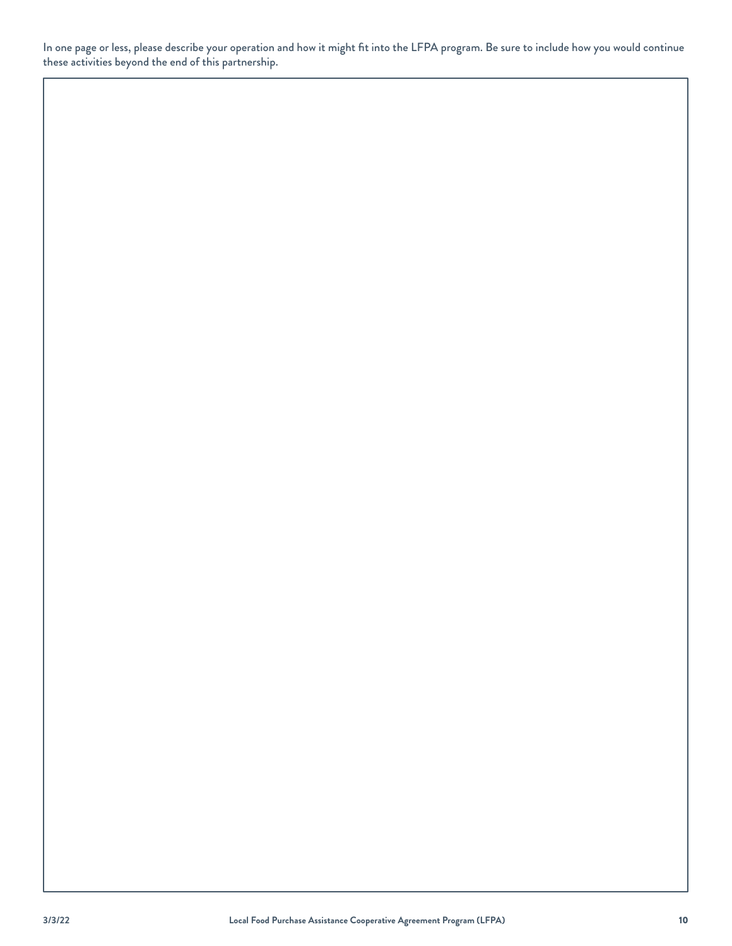In one page or less, please describe your operation and how it might fit into the LFPA program. Be sure to include how you would continue these activities beyond the end of this partnership.